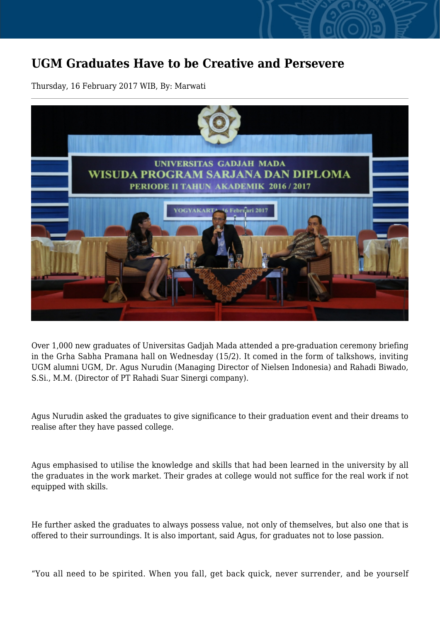## **UGM Graduates Have to be Creative and Persevere**

Thursday, 16 February 2017 WIB, By: Marwati



Over 1,000 new graduates of Universitas Gadjah Mada attended a pre-graduation ceremony briefing in the Grha Sabha Pramana hall on Wednesday (15/2). It comed in the form of talkshows, inviting UGM alumni UGM, Dr. Agus Nurudin (Managing Director of Nielsen Indonesia) and Rahadi Biwado, S.Si., M.M. (Director of PT Rahadi Suar Sinergi company).

Agus Nurudin asked the graduates to give significance to their graduation event and their dreams to realise after they have passed college.

Agus emphasised to utilise the knowledge and skills that had been learned in the university by all the graduates in the work market. Their grades at college would not suffice for the real work if not equipped with skills.

He further asked the graduates to always possess value, not only of themselves, but also one that is offered to their surroundings. It is also important, said Agus, for graduates not to lose passion.

"You all need to be spirited. When you fall, get back quick, never surrender, and be yourself